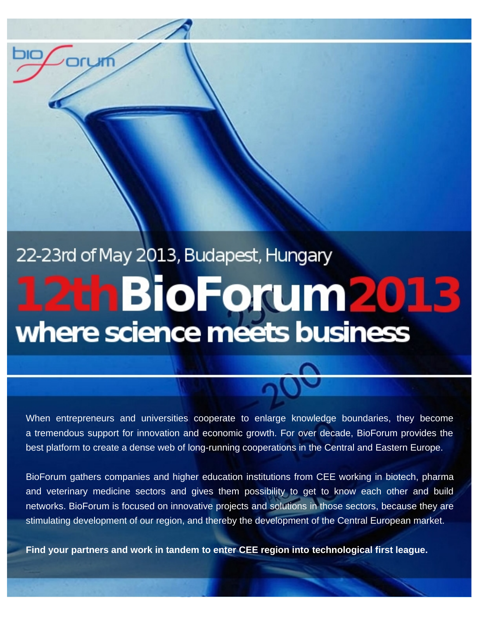# 22-23rd of May 2013, Budapest, Hungary 12th BioForum2013

When entrepreneurs and universities cooperate to enlarge knowledge boundaries, they become a tremendous support for innovation and economic growth. For over decade, BioForum provides the best platform to create a dense web of long-running cooperations in the Central and Eastern Europe.

BioForum gathers companies and higher education institutions from CEE working in biotech, pharma and veterinary medicine sectors and gives them possibility to get to know each other and build networks. BioForum is focused on innovative projects and solutions in those sectors, because they are stimulating development of our region, and thereby the development of the Central European market.

**Find your partners and work in tandem to enter CEE region into technological first league.**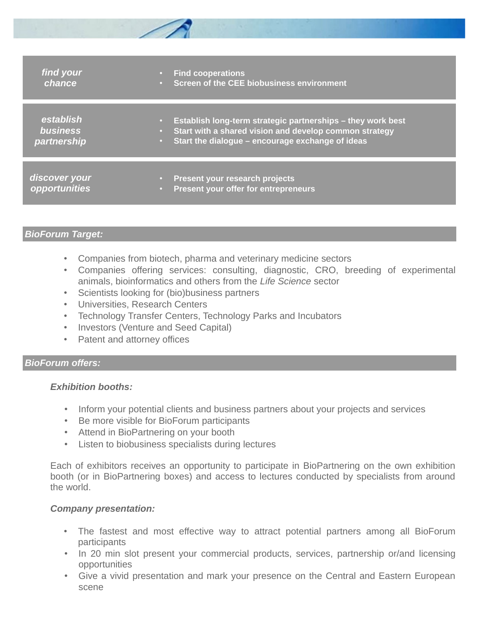| find your<br>chance                         | <b>Find cooperations</b><br>$\bullet$ .<br>• Screen of the CEE biobusiness environment                                                                                                                    |
|---------------------------------------------|-----------------------------------------------------------------------------------------------------------------------------------------------------------------------------------------------------------|
| establish<br><b>business</b><br>partnership | Establish long-term strategic partnerships – they work best<br>$\bullet$ .<br>Start with a shared vision and develop common strategy<br>$\bullet$ .<br>• Start the dialogue – encourage exchange of ideas |
| discover your<br><b>Opportunities</b>       | <b>Present your research projects</b><br>$\bullet$ .<br>Present your offer for entrepreneurs<br>$\bullet$                                                                                                 |

# *BioForum Target:*

- Companies from biotech, pharma and veterinary medicine sectors
- Companies offering services: consulting, diagnostic, CRO, breeding of experimental animals, bioinformatics and others from the *Life Science* sector
- Scientists looking for (bio)business partners
- Universities, Research Centers
- Technology Transfer Centers, Technology Parks and Incubators
- Investors (Venture and Seed Capital)
- Patent and attorney offices

## *BioForum offers:*

# *Exhibition booths:*

- Inform your potential clients and business partners about your projects and services
- Be more visible for BioForum participants
- Attend in BioPartnering on your booth
- Listen to biobusiness specialists during lectures

Each of exhibitors receives an opportunity to participate in BioPartnering on the own exhibition booth (or in BioPartnering boxes) and access to lectures conducted by specialists from around the world.

## *Company presentation:*

- The fastest and most effective way to attract potential partners among all BioForum participants
- In 20 min slot present your commercial products, services, partnership or/and licensing opportunities
- Give a vivid presentation and mark your presence on the Central and Eastern European scene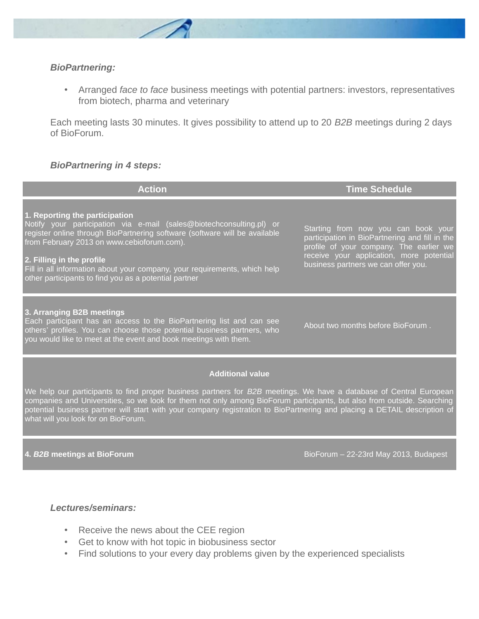

#### *BioPartnering:*

• Arranged *face to face* business meetings with potential partners: investors, representatives from biotech, pharma and veterinary

Each meeting lasts 30 minutes. It gives possibility to attend up to 20 *B2B* meetings during 2 days of BioForum.

#### *BioPartnering in 4 steps:*

| <b>Action</b>                                                                                                                                                                                                                                                                                                                                                                                                    | <b>Time Schedule</b>                                                                                                                                                                                                |
|------------------------------------------------------------------------------------------------------------------------------------------------------------------------------------------------------------------------------------------------------------------------------------------------------------------------------------------------------------------------------------------------------------------|---------------------------------------------------------------------------------------------------------------------------------------------------------------------------------------------------------------------|
| 1. Reporting the participation<br>Notify your participation via e-mail (sales@biotechconsulting.pl) or<br>register online through BioPartnering software (software will be available<br>from February 2013 on www.cebioforum.com).<br>2. Filling in the profile<br>Fill in all information about your company, your requirements, which help<br>other participants to find you as a potential partner            | Starting from now you can book your<br>participation in BioPartnering and fill in the<br>profile of your company. The earlier we<br>receive your application, more potential<br>business partners we can offer you. |
| 3. Arranging B2B meetings<br>Each participant has an access to the BioPartnering list and can see<br>others' profiles. You can choose those potential business partners, who<br>you would like to meet at the event and book meetings with them.                                                                                                                                                                 | About two months before BioForum.                                                                                                                                                                                   |
| <b>Additional value</b>                                                                                                                                                                                                                                                                                                                                                                                          |                                                                                                                                                                                                                     |
| We help our participants to find proper business partners for B2B meetings. We have a database of Central European<br>companies and Universities, so we look for them not only among BioForum participants, but also from outside. Searching<br>potential business partner will start with your company registration to BioPartnering and placing a DETAIL description of<br>what will you look for on BioForum. |                                                                                                                                                                                                                     |

**4.** *B2B* **meetings at BioForum** BioForum – 22-23rd May 2013, Budapest

## *Lectures/seminars:*

- Receive the news about the CEE region
- Get to know with hot topic in biobusiness sector
- Find solutions to your every day problems given by the experienced specialists